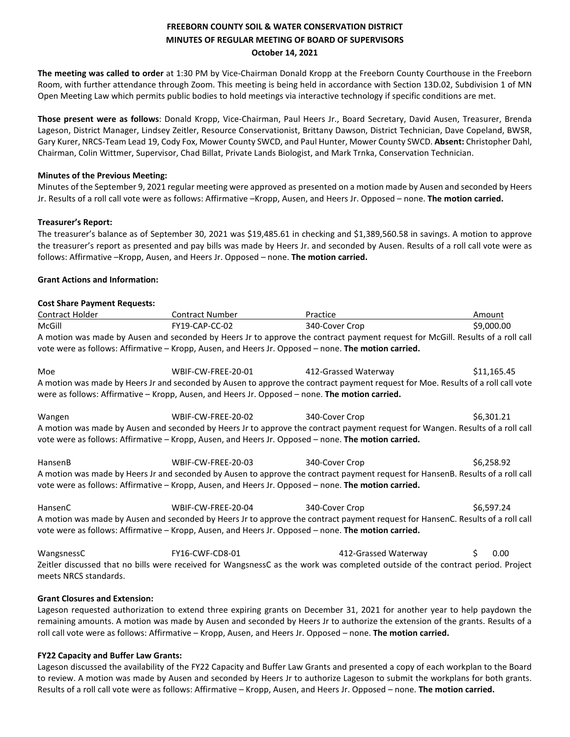# **FREEBORN COUNTY SOIL & WATER CONSERVATION DISTRICT MINUTES OF REGULAR MEETING OF BOARD OF SUPERVISORS October 14, 2021**

**The meeting was called to order** at 1:30 PM by Vice-Chairman Donald Kropp at the Freeborn County Courthouse in the Freeborn Room, with further attendance through Zoom. This meeting is being held in accordance with Section 13D.02, Subdivision 1 of MN Open Meeting Law which permits public bodies to hold meetings via interactive technology if specific conditions are met.

**Those present were as follows**: Donald Kropp, Vice-Chairman, Paul Heers Jr., Board Secretary, David Ausen, Treasurer, Brenda Lageson, District Manager, Lindsey Zeitler, Resource Conservationist, Brittany Dawson, District Technician, Dave Copeland, BWSR, Gary Kurer, NRCS-Team Lead 19, Cody Fox, Mower County SWCD, and Paul Hunter, Mower County SWCD. **Absent:** Christopher Dahl, Chairman, Colin Wittmer, Supervisor, Chad Billat, Private Lands Biologist, and Mark Trnka, Conservation Technician.

## **Minutes of the Previous Meeting:**

Minutes of the September 9, 2021 regular meeting were approved as presented on a motion made by Ausen and seconded by Heers Jr. Results of a roll call vote were as follows: Affirmative –Kropp, Ausen, and Heers Jr. Opposed – none. **The motion carried.** 

## **Treasurer's Report:**

The treasurer's balance as of September 30, 2021 was \$19,485.61 in checking and \$1,389,560.58 in savings. A motion to approve the treasurer's report as presented and pay bills was made by Heers Jr. and seconded by Ausen. Results of a roll call vote were as follows: Affirmative –Kropp, Ausen, and Heers Jr. Opposed – none. **The motion carried.** 

## **Grant Actions and Information:**

#### **Cost Share Payment Requests:**

| Contract Holder                                                                                                                | Contract Number | Practice       | Amount     |
|--------------------------------------------------------------------------------------------------------------------------------|-----------------|----------------|------------|
| McGill                                                                                                                         | FY19-CAP-CC-02  | 340-Cover Crop | \$9,000.00 |
| A motion was made by Ausen and seconded by Heers Jr to approve the contract payment request for McGill. Results of a roll call |                 |                |            |
| vote were as follows: Affirmative – Kropp, Ausen, and Heers Jr. Opposed – none. The motion carried.                            |                 |                |            |

Moe WBIF-CW-FREE-20-01 412-Grassed Waterway \$11,165.45 A motion was made by Heers Jr and seconded by Ausen to approve the contract payment request for Moe. Results of a roll call vote were as follows: Affirmative – Kropp, Ausen, and Heers Jr. Opposed – none. **The motion carried.**

Wangen WBIF-CW-FREE-20-02 340-Cover Crop \$6,301.21 A motion was made by Ausen and seconded by Heers Jr to approve the contract payment request for Wangen. Results of a roll call vote were as follows: Affirmative – Kropp, Ausen, and Heers Jr. Opposed – none. **The motion carried.**

HansenB WBIF-CW-FREE-20-03 340-Cover Crop \$6,258.92 A motion was made by Heers Jr and seconded by Ausen to approve the contract payment request for HansenB. Results of a roll call vote were as follows: Affirmative – Kropp, Ausen, and Heers Jr. Opposed – none. **The motion carried.**

HansenC 
WBIF-CW-FREE-20-04 
340-Cover Crop \$6,597.24 A motion was made by Ausen and seconded by Heers Jr to approve the contract payment request for HansenC. Results of a roll call vote were as follows: Affirmative – Kropp, Ausen, and Heers Jr. Opposed – none. **The motion carried.**

WangsnessC FY16-CWF-CD8-01 412-Grassed Waterway \$ 0.00 Zeitler discussed that no bills were received for WangsnessC as the work was completed outside of the contract period. Project meets NRCS standards.

## **Grant Closures and Extension:**

Lageson requested authorization to extend three expiring grants on December 31, 2021 for another year to help paydown the remaining amounts. A motion was made by Ausen and seconded by Heers Jr to authorize the extension of the grants. Results of a roll call vote were as follows: Affirmative – Kropp, Ausen, and Heers Jr. Opposed – none. **The motion carried.** 

#### **FY22 Capacity and Buffer Law Grants:**

Lageson discussed the availability of the FY22 Capacity and Buffer Law Grants and presented a copy of each workplan to the Board to review. A motion was made by Ausen and seconded by Heers Jr to authorize Lageson to submit the workplans for both grants. Results of a roll call vote were as follows: Affirmative – Kropp, Ausen, and Heers Jr. Opposed – none. **The motion carried.**